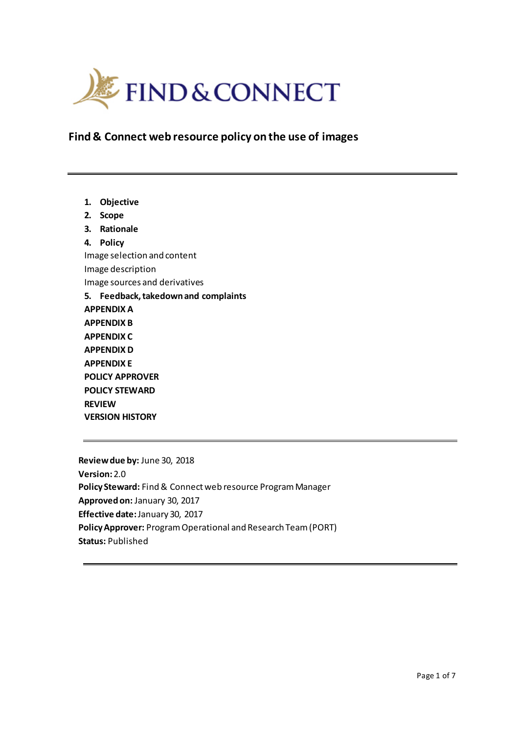

**Find & Connect web resource policy on the use of images**

**1. Objective 2. Scope 3. Rationale 4. Policy**  Image selection and content Image description Image sources and derivatives **5. Feedback, takedown and complaints APPENDIX A APPENDIX B APPENDIX C APPENDIX D APPENDIX E POLICY APPROVER POLICY STEWARD REVIEW VERSION HISTORY**

**Review due by:** June 30, 2018 **Version:**2.0 **Policy Steward:** Find & Connect web resource Program Manager **Approved on:** January 30, 2017 **Effective date:**January 30, 2017 **Policy Approver:** Program Operational and Research Team (PORT) **Status:** Published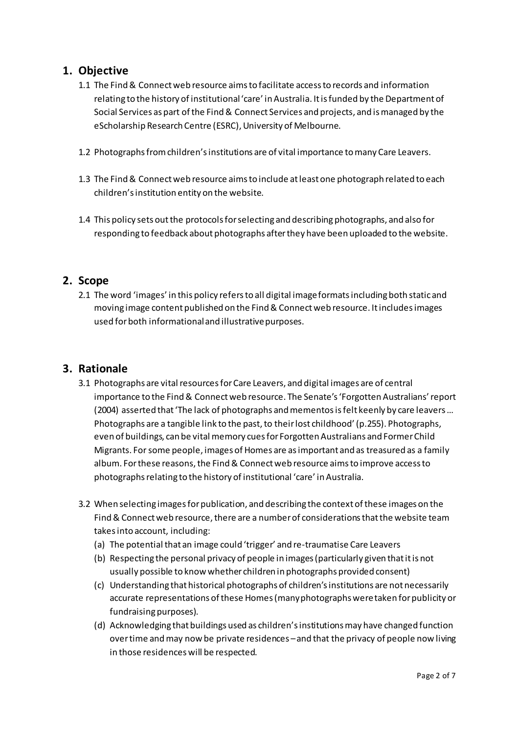### **1. Objective**

- 1.1 The Find & Connect web resource aims to facilitate access to records and information relating to the history of institutional 'care' in Australia. It is funded by the Department of Social Services as part of the Find & Connect Services and projects, and is managed by the eScholarship Research Centre (ESRC), University of Melbourne.
- 1.2 Photographs from children's institutions are of vital importance to many Care Leavers.
- 1.3 The Find & Connect web resource aims to include at least one photograph related to each children'sinstitution entity on the website.
- 1.4 This policy sets out the protocols for selecting and describing photographs, and also for responding to feedback about photographs after they have been uploaded to the website.

#### **2. Scope**

2.1 The word 'images' in this policy refers to all digital image formats including both static and moving image content published on the Find & Connect web resource. It includes images used for both informational and illustrative purposes.

#### **3. Rationale**

- 3.1 Photographs are vital resources for Care Leavers, and digital images are of central importance to the Find & Connect web resource. The Senate's 'Forgotten Australians' report (2004) asserted that 'The lack of photographs and mementos is felt keenly by care leavers … Photographs are a tangible link to the past, to their lost childhood' (p.255). Photographs, even of buildings, can be vital memory cues for Forgotten Australians and Former Child Migrants. For some people, images of Homes are as important and as treasured as a family album. For these reasons, the Find & Connect web resource aims to improve access to photographs relating to the history of institutional 'care' in Australia.
- 3.2 When selecting images for publication, and describing the context of these images on the Find & Connect web resource, there are a number of considerations that the website team takes into account, including:
	- (a) The potential that an image could 'trigger' and re-traumatise Care Leavers
	- (b) Respecting the personal privacy of people in images (particularly given that it is not usually possible to know whether children in photographs provided consent)
	- (c) Understanding that historical photographs of children's institutions are not necessarily accurate representations of these Homes (many photographs were taken for publicity or fundraising purposes).
	- (d) Acknowledging that buildings used as children's institutions may have changed function over time and may now be private residences –and that the privacy of people now living in those residences will be respected.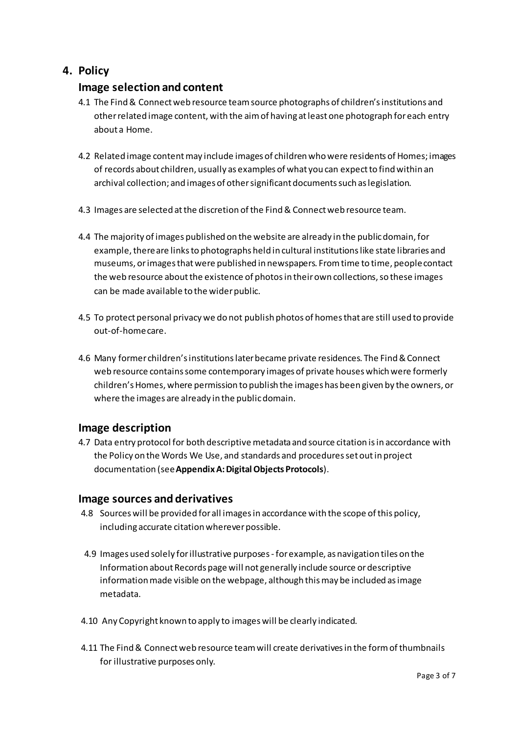## **4. Policy**

### **Image selection and content**

- 4.1 The Find & Connect web resource team source photographs of children's institutions and other related image content, with the aim of having at least one photograph for each entry about a Home.
- 4.2 Related image content may include images of children who were residents of Homes; images of records about children, usually as examples of what you can expect to find within an archival collection; and images of other significant documents such as legislation.
- 4.3 Images are selected at the discretion of the Find & Connect web resource team.
- 4.4 The majority of images published on the website are already in the public domain, for example, there are links to photographs held in cultural institutions like state libraries and museums, or images that were published in newspapers. From time to time, people contact the web resource about the existence of photosin their own collections, so these images can be made available to the wider public.
- 4.5 To protect personal privacy we do not publish photos of homes that are still used to provide out-of-home care.
- 4.6 Many former children's institutions later became private residences. The Find & Connect web resource contains some contemporary images of private houses which were formerly children's Homes, where permission to publish the images has been given by the owners, or where the images are already in the public domain.

#### **Image description**

4.7 Data entry protocol for both descriptive metadata and source citation is in accordance with the Policy on the Words We Use, and standards and procedures set out in project documentation (see **Appendix A: Digital Objects Protocols**).

#### **Image sources and derivatives**

- 4.8 Sources will be provided for all images in accordance with the scope of this policy, including accurate citation wherever possible.
- 4.9 Images used solely for illustrative purposes for example, as navigation tiles on the Information about Records page will not generally include source or descriptive information made visible on the webpage, although this may be included as image metadata.
- 4.10 Any Copyright known to apply to images will be clearly indicated.
- 4.11 The Find & Connect web resource team will create derivatives in the form of thumbnails for illustrative purposes only.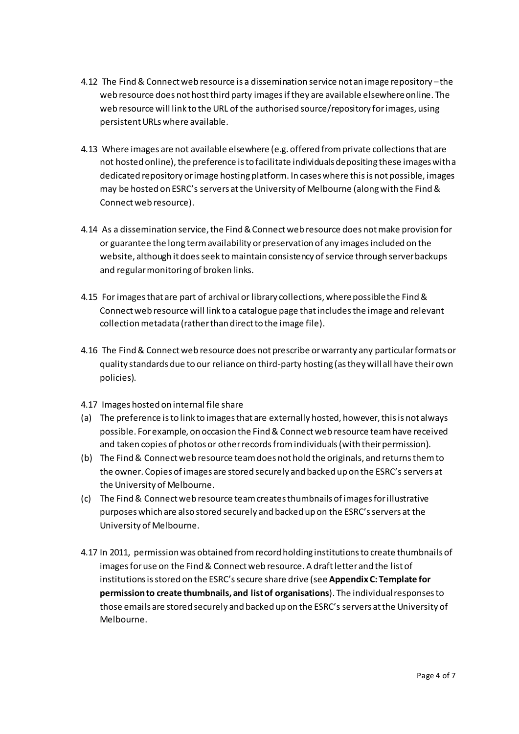- 4.12 The Find & Connect web resource is a dissemination service not an image repository –the web resource does not host third party images if they are available elsewhere online. The web resource will link to the URL of the authorised source/repository for images, using persistent URLs where available.
- 4.13 Where images are not available elsewhere (e.g. offered from private collections that are not hosted online), the preference is to facilitate individuals depositing these images with a dedicated repository or image hosting platform. In cases where this is not possible, images may be hosted on ESRC's servers at the University of Melbourne (along with the Find & Connect web resource).
- 4.14 As a dissemination service, the Find & Connect web resource does not make provision for or guarantee the long term availability or preservation of any images included on the website, although it doesseek to maintain consistency of service through server backups and regular monitoring of broken links.
- 4.15 For images that are part of archival or library collections, where possible the Find & Connect web resource will link to a catalogue page that includes the image and relevant collection metadata (rather than direct to the image file).
- 4.16 The Find & Connect web resource does not prescribe or warranty any particular formats or quality standards due to our reliance on third-party hosting (as they will all have their own policies).
- 4.17 Images hosted on internal file share
- (a) The preference is to link to images that are externally hosted, however, this is not always possible. For example, on occasion the Find & Connect web resource team have received and taken copies of photos or other records from individuals (with their permission).
- (b) The Find & Connect web resource team does not hold the originals, and returnsthem to the owner. Copies of images are stored securely and backed up on the ESRC's servers at the University of Melbourne.
- (c) The Find & Connect web resource team createsthumbnails of images for illustrative purposes which are also stored securely and backed up on the ESRC's servers at the University of Melbourne.
- 4.17 In 2011, permission was obtained from record holding institutions to create thumbnails of images for use on the Find & Connect web resource. A draft letter and the list of institutions is stored on the ESRC's secure share drive (see **Appendix C: Template for permission to create thumbnails, and list of organisations**). The individual responses to those emails are stored securely and backed up on the ESRC's servers at the University of Melbourne.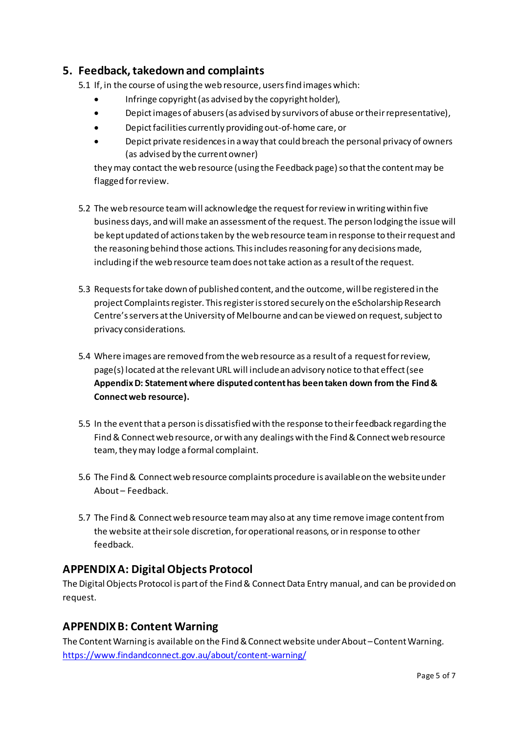### **5. Feedback, takedown and complaints**

5.1 If, in the course of using the web resource, users find images which:

- Infringe copyright (as advised by the copyright holder),
- Depictimages of abusers (as advised by survivors of abuse or their representative),
- Depict facilities currently providing out-of-home care, or
- Depict private residences in a way that could breach the personal privacy of owners (as advised by the current owner)

they may contact the web resource (using the Feedback page) so that the content may be flagged for review.

- 5.2 The web resource team will acknowledge the request for review in writing within five business days, and will make an assessment of the request. The person lodging the issue will be kept updated of actions taken by the web resource team in response to their request and the reasoning behind those actions. This includes reasoning for any decisions made, including if the web resource team does not take action as a result of the request.
- 5.3 Requests for take down of published content, and the outcome, will be registered in the project Complaints register. This register is stored securely on the eScholarship Research Centre'sservers at the University of Melbourne and can be viewed on request, subject to privacy considerations.
- 5.4 Where images are removed from the web resource as a result of a request for review, page(s) located at the relevant URL will include an advisory notice to that effect (see **Appendix D: Statement where disputed content has been taken down from the Find & Connect web resource).**
- 5.5 In the event that a person is dissatisfied with the response to their feedback regarding the Find & Connect web resource, or with any dealings with the Find & Connect web resource team, they may lodge a formal complaint.
- 5.6 The Find & Connect web resource complaints procedure is available on the website under About – Feedback.
- 5.7 The Find & Connect web resource team may also at any time remove image content from the website at theirsole discretion, for operational reasons, or in response to other feedback.

#### **APPENDIXA: Digital Objects Protocol**

The Digital Objects Protocol is part of the Find & Connect Data Entry manual, and can be provided on request.

#### **APPENDIXB: Content Warning**

The Content Warning is available on the Find & Connect website under About –Content Warning. <https://www.findandconnect.gov.au/about/content-warning/>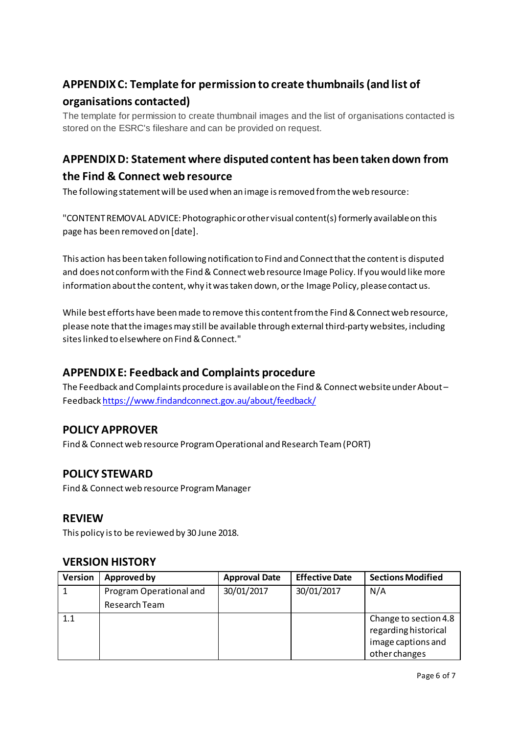# **APPENDIXC: Template for permission to create thumbnails (and list of organisations contacted)**

The template for permission to create thumbnail images and the list of organisations contacted is stored on the ESRC's fileshare and can be provided on request.

# **APPENDIXD: Statement where disputed content has been taken down from the Find & Connect web resource**

The following statement will be used when an image is removed from the web resource:

"CONTENT REMOVAL ADVICE: Photographic or other visual content(s) formerly available on this page has been removed on [date].

This action has been taken following notification to Find and Connect that the content is disputed and does not conform with the Find & Connect web resource Image Policy. If you would like more information about the content, why it was taken down, or the Image Policy, please contact us.

While best efforts have been made to remove this content from the Find & Connect web resource, please note that the images may still be available through external third-party websites, including sites linked to elsewhere on Find & Connect."

## **APPENDIXE: Feedback and Complaints procedure**

The Feedback and Complaints procedure is available on the Find & Connect website under About – Feedbac[k https://www.findandconnect.gov.au/about/feedback/](https://www.findandconnect.gov.au/about/feedback/)

## **POLICY APPROVER**

Find & Connect web resource Program Operational and Research Team (PORT)

## **POLICY STEWARD**

Find & Connect web resource Program Manager

#### **REVIEW**

This policy is to be reviewed by 30 June 2018.

#### **VERSION HISTORY**

| <b>Version</b> | Approved by             | <b>Approval Date</b> | <b>Effective Date</b> | <b>Sections Modified</b>                                                             |
|----------------|-------------------------|----------------------|-----------------------|--------------------------------------------------------------------------------------|
|                | Program Operational and | 30/01/2017           | 30/01/2017            | N/A                                                                                  |
|                | Research Team           |                      |                       |                                                                                      |
| 1.1            |                         |                      |                       | Change to section 4.8<br>regarding historical<br>image captions and<br>other changes |